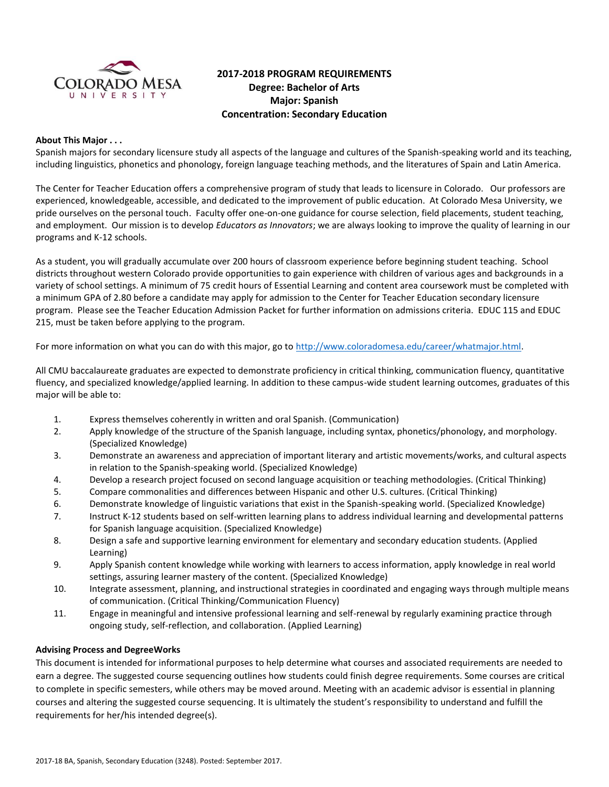

# **2017-2018 PROGRAM REQUIREMENTS Degree: Bachelor of Arts Major: Spanish Concentration: Secondary Education**

#### **About This Major . . .**

Spanish majors for secondary licensure study all aspects of the language and cultures of the Spanish-speaking world and its teaching, including linguistics, phonetics and phonology, foreign language teaching methods, and the literatures of Spain and Latin America.

The Center for Teacher Education offers a comprehensive program of study that leads to licensure in Colorado. Our professors are experienced, knowledgeable, accessible, and dedicated to the improvement of public education. At Colorado Mesa University, we pride ourselves on the personal touch. Faculty offer one-on-one guidance for course selection, field placements, student teaching, and employment. Our mission is to develop *Educators as Innovators*; we are always looking to improve the quality of learning in our programs and K-12 schools.

As a student, you will gradually accumulate over 200 hours of classroom experience before beginning student teaching. School districts throughout western Colorado provide opportunities to gain experience with children of various ages and backgrounds in a variety of school settings. A minimum of 75 credit hours of Essential Learning and content area coursework must be completed with a minimum GPA of 2.80 before a candidate may apply for admission to the Center for Teacher Education secondary licensure program. Please see the Teacher Education Admission Packet for further information on admissions criteria. EDUC 115 and EDUC 215, must be taken before applying to the program.

For more information on what you can do with this major, go to [http://www.coloradomesa.edu/career/whatmajor.html.](http://www.coloradomesa.edu/career/whatmajor.html)

All CMU baccalaureate graduates are expected to demonstrate proficiency in critical thinking, communication fluency, quantitative fluency, and specialized knowledge/applied learning. In addition to these campus-wide student learning outcomes, graduates of this major will be able to:

- 1. Express themselves coherently in written and oral Spanish. (Communication)
- 2. Apply knowledge of the structure of the Spanish language, including syntax, phonetics/phonology, and morphology. (Specialized Knowledge)
- 3. Demonstrate an awareness and appreciation of important literary and artistic movements/works, and cultural aspects in relation to the Spanish-speaking world. (Specialized Knowledge)
- 4. Develop a research project focused on second language acquisition or teaching methodologies. (Critical Thinking)
- 5. Compare commonalities and differences between Hispanic and other U.S. cultures. (Critical Thinking)
- 6. Demonstrate knowledge of linguistic variations that exist in the Spanish-speaking world. (Specialized Knowledge)
- 7. Instruct K-12 students based on self-written learning plans to address individual learning and developmental patterns for Spanish language acquisition. (Specialized Knowledge)
- 8. Design a safe and supportive learning environment for elementary and secondary education students. (Applied Learning)
- 9. Apply Spanish content knowledge while working with learners to access information, apply knowledge in real world settings, assuring learner mastery of the content. (Specialized Knowledge)
- 10. Integrate assessment, planning, and instructional strategies in coordinated and engaging ways through multiple means of communication. (Critical Thinking/Communication Fluency)
- 11. Engage in meaningful and intensive professional learning and self-renewal by regularly examining practice through ongoing study, self-reflection, and collaboration. (Applied Learning)

#### **Advising Process and DegreeWorks**

This document is intended for informational purposes to help determine what courses and associated requirements are needed to earn a degree. The suggested course sequencing outlines how students could finish degree requirements. Some courses are critical to complete in specific semesters, while others may be moved around. Meeting with an academic advisor is essential in planning courses and altering the suggested course sequencing. It is ultimately the student's responsibility to understand and fulfill the requirements for her/his intended degree(s).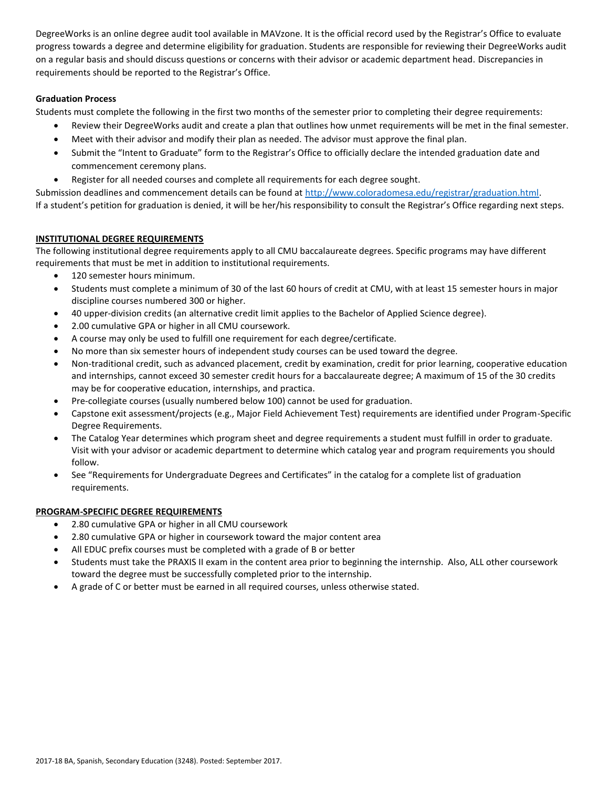DegreeWorks is an online degree audit tool available in MAVzone. It is the official record used by the Registrar's Office to evaluate progress towards a degree and determine eligibility for graduation. Students are responsible for reviewing their DegreeWorks audit on a regular basis and should discuss questions or concerns with their advisor or academic department head. Discrepancies in requirements should be reported to the Registrar's Office.

## **Graduation Process**

Students must complete the following in the first two months of the semester prior to completing their degree requirements:

- Review their DegreeWorks audit and create a plan that outlines how unmet requirements will be met in the final semester.
- Meet with their advisor and modify their plan as needed. The advisor must approve the final plan.
- Submit the "Intent to Graduate" form to the Registrar's Office to officially declare the intended graduation date and commencement ceremony plans.
- Register for all needed courses and complete all requirements for each degree sought.

Submission deadlines and commencement details can be found at [http://www.coloradomesa.edu/registrar/graduation.html.](http://www.coloradomesa.edu/registrar/graduation.html)

If a student's petition for graduation is denied, it will be her/his responsibility to consult the Registrar's Office regarding next steps.

## **INSTITUTIONAL DEGREE REQUIREMENTS**

The following institutional degree requirements apply to all CMU baccalaureate degrees. Specific programs may have different requirements that must be met in addition to institutional requirements.

- 120 semester hours minimum.
- Students must complete a minimum of 30 of the last 60 hours of credit at CMU, with at least 15 semester hours in major discipline courses numbered 300 or higher.
- 40 upper-division credits (an alternative credit limit applies to the Bachelor of Applied Science degree).
- 2.00 cumulative GPA or higher in all CMU coursework.
- A course may only be used to fulfill one requirement for each degree/certificate.
- No more than six semester hours of independent study courses can be used toward the degree.
- Non-traditional credit, such as advanced placement, credit by examination, credit for prior learning, cooperative education and internships, cannot exceed 30 semester credit hours for a baccalaureate degree; A maximum of 15 of the 30 credits may be for cooperative education, internships, and practica.
- Pre-collegiate courses (usually numbered below 100) cannot be used for graduation.
- Capstone exit assessment/projects (e.g., Major Field Achievement Test) requirements are identified under Program-Specific Degree Requirements.
- The Catalog Year determines which program sheet and degree requirements a student must fulfill in order to graduate. Visit with your advisor or academic department to determine which catalog year and program requirements you should follow.
- See "Requirements for Undergraduate Degrees and Certificates" in the catalog for a complete list of graduation requirements.

# **PROGRAM-SPECIFIC DEGREE REQUIREMENTS**

- 2.80 cumulative GPA or higher in all CMU coursework
- 2.80 cumulative GPA or higher in coursework toward the major content area
- All EDUC prefix courses must be completed with a grade of B or better
- Students must take the PRAXIS II exam in the content area prior to beginning the internship. Also, ALL other coursework toward the degree must be successfully completed prior to the internship.
- A grade of C or better must be earned in all required courses, unless otherwise stated.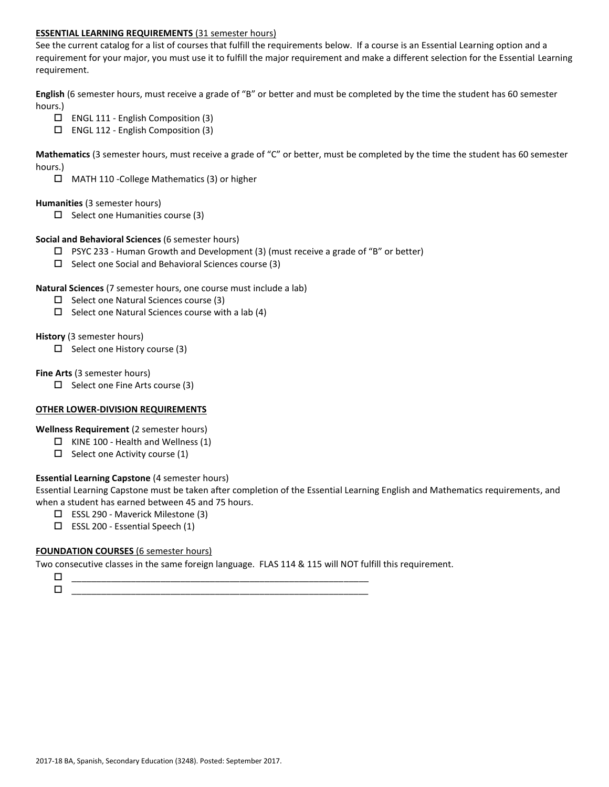#### **ESSENTIAL LEARNING REQUIREMENTS** (31 semester hours)

See the current catalog for a list of courses that fulfill the requirements below. If a course is an Essential Learning option and a requirement for your major, you must use it to fulfill the major requirement and make a different selection for the Essential Learning requirement.

**English** (6 semester hours, must receive a grade of "B" or better and must be completed by the time the student has 60 semester hours.)

- $\Box$  ENGL 111 English Composition (3)
- ENGL 112 English Composition (3)

**Mathematics** (3 semester hours, must receive a grade of "C" or better, must be completed by the time the student has 60 semester hours.)

MATH 110 -College Mathematics (3) or higher

#### **Humanities** (3 semester hours)

 $\Box$  Select one Humanities course (3)

#### **Social and Behavioral Sciences** (6 semester hours)

- $\Box$  PSYC 233 Human Growth and Development (3) (must receive a grade of "B" or better)
- $\Box$  Select one Social and Behavioral Sciences course (3)

#### **Natural Sciences** (7 semester hours, one course must include a lab)

- $\square$  Select one Natural Sciences course (3)
- $\Box$  Select one Natural Sciences course with a lab (4)

#### **History** (3 semester hours)

 $\Box$  Select one History course (3)

#### **Fine Arts** (3 semester hours)

 $\Box$  Select one Fine Arts course (3)

## **OTHER LOWER-DIVISION REQUIREMENTS**

**Wellness Requirement** (2 semester hours)

- $\Box$  KINE 100 Health and Wellness (1)
- $\Box$  Select one Activity course (1)

## **Essential Learning Capstone** (4 semester hours)

Essential Learning Capstone must be taken after completion of the Essential Learning English and Mathematics requirements, and when a student has earned between 45 and 75 hours.

- ESSL 290 Maverick Milestone (3)
- $\Box$  ESSL 200 Essential Speech (1)

## **FOUNDATION COURSES** (6 semester hours)

Two consecutive classes in the same foreign language. FLAS 114 & 115 will NOT fulfill this requirement.

 \_\_\_\_\_\_\_\_\_\_\_\_\_\_\_\_\_\_\_\_\_\_\_\_\_\_\_\_\_\_\_\_\_\_\_\_\_\_\_\_\_\_\_\_\_\_\_\_\_\_\_\_\_\_\_\_\_\_\_\_ \_\_\_\_\_\_\_\_\_\_\_\_\_\_\_\_\_\_\_\_\_\_\_\_\_\_\_\_\_\_\_\_\_\_\_\_\_\_\_\_\_\_\_\_\_\_\_\_\_\_\_\_\_\_\_\_\_\_\_\_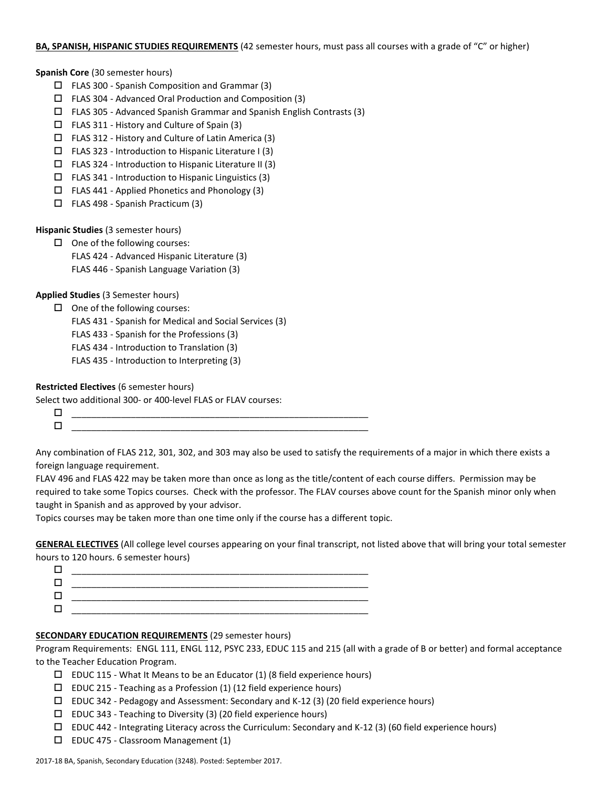#### **BA, SPANISH, HISPANIC STUDIES REQUIREMENTS** (42 semester hours, must pass all courses with a grade of "C" or higher)

**Spanish Core** (30 semester hours)

- $\Box$  FLAS 300 Spanish Composition and Grammar (3)
- FLAS 304 Advanced Oral Production and Composition (3)
- $\Box$  FLAS 305 Advanced Spanish Grammar and Spanish English Contrasts (3)
- FLAS 311 History and Culture of Spain (3)
- $\Box$  FLAS 312 History and Culture of Latin America (3)
- $\square$  FLAS 323 Introduction to Hispanic Literature I (3)
- $\square$  FLAS 324 Introduction to Hispanic Literature II (3)
- $\Box$  FLAS 341 Introduction to Hispanic Linguistics (3)
- $\Box$  FLAS 441 Applied Phonetics and Phonology (3)
- $\Box$  FLAS 498 Spanish Practicum (3)

**Hispanic Studies** (3 semester hours)

 $\Box$  One of the following courses: FLAS 424 - Advanced Hispanic Literature (3)

FLAS 446 - Spanish Language Variation (3)

**Applied Studies** (3 Semester hours)

- $\Box$  One of the following courses:
	- FLAS 431 Spanish for Medical and Social Services (3)
	- FLAS 433 Spanish for the Professions (3)
	- FLAS 434 Introduction to Translation (3)
	- FLAS 435 Introduction to Interpreting (3)

## **Restricted Electives** (6 semester hours)

Select two additional 300- or 400-level FLAS or FLAV courses:

 \_\_\_\_\_\_\_\_\_\_\_\_\_\_\_\_\_\_\_\_\_\_\_\_\_\_\_\_\_\_\_\_\_\_\_\_\_\_\_\_\_\_\_\_\_\_\_\_\_\_\_\_\_\_\_\_\_\_\_\_  $\Box$ 

Any combination of FLAS 212, 301, 302, and 303 may also be used to satisfy the requirements of a major in which there exists a foreign language requirement.

FLAV 496 and FLAS 422 may be taken more than once as long as the title/content of each course differs. Permission may be required to take some Topics courses. Check with the professor. The FLAV courses above count for the Spanish minor only when taught in Spanish and as approved by your advisor.

Topics courses may be taken more than one time only if the course has a different topic.

**GENERAL ELECTIVES** (All college level courses appearing on your final transcript, not listed above that will bring your total semester hours to 120 hours. 6 semester hours)

| ______ |
|--------|
|        |
|        |
|        |
|        |

## **SECONDARY EDUCATION REQUIREMENTS** (29 semester hours)

Program Requirements: ENGL 111, ENGL 112, PSYC 233, EDUC 115 and 215 (all with a grade of B or better) and formal acceptance to the Teacher Education Program.

- $\square$  EDUC 115 What It Means to be an Educator (1) (8 field experience hours)
- $\square$  EDUC 215 Teaching as a Profession (1) (12 field experience hours)
- $\square$  EDUC 342 Pedagogy and Assessment: Secondary and K-12 (3) (20 field experience hours)
- $\square$  EDUC 343 Teaching to Diversity (3) (20 field experience hours)
- $\Box$  EDUC 442 Integrating Literacy across the Curriculum: Secondary and K-12 (3) (60 field experience hours)
- $\square$  EDUC 475 Classroom Management (1)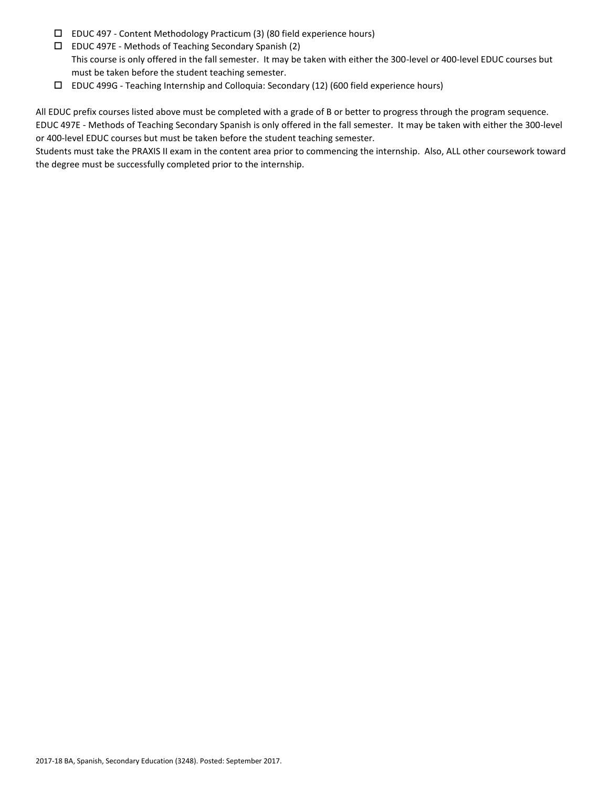- EDUC 497 Content Methodology Practicum (3) (80 field experience hours)
- $\Box$  EDUC 497E Methods of Teaching Secondary Spanish (2) This course is only offered in the fall semester. It may be taken with either the 300-level or 400-level EDUC courses but must be taken before the student teaching semester.
- EDUC 499G Teaching Internship and Colloquia: Secondary (12) (600 field experience hours)

All EDUC prefix courses listed above must be completed with a grade of B or better to progress through the program sequence. EDUC 497E - Methods of Teaching Secondary Spanish is only offered in the fall semester. It may be taken with either the 300-level or 400-level EDUC courses but must be taken before the student teaching semester.

Students must take the PRAXIS II exam in the content area prior to commencing the internship. Also, ALL other coursework toward the degree must be successfully completed prior to the internship.